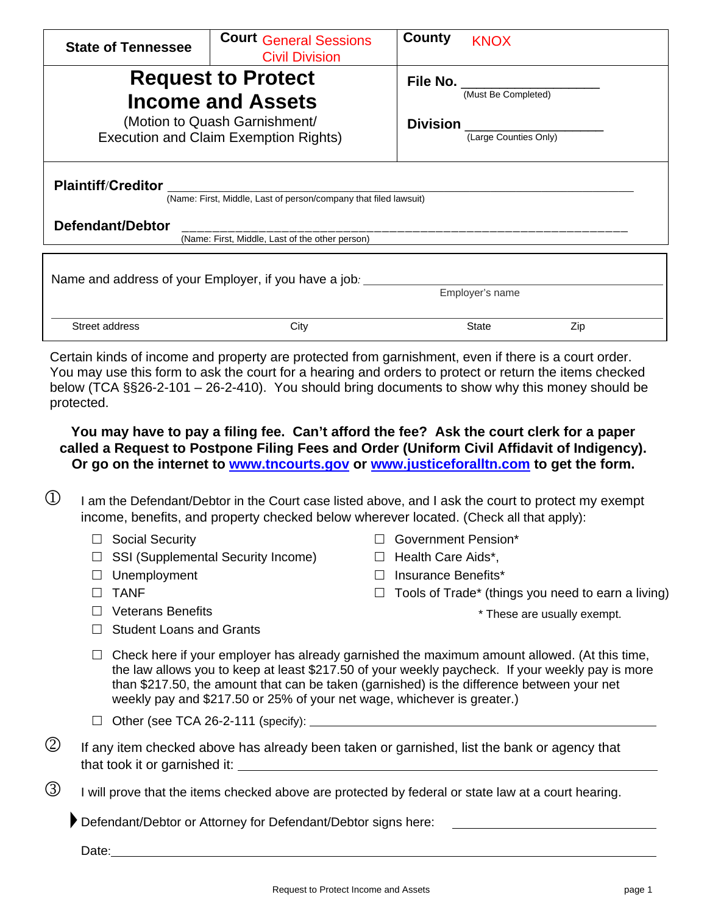| <b>State of Tennessee</b>                                                                     | <b>Court General Sessions</b><br><b>Civil Division</b>                        | County<br><b>KNOX</b>                    |  |
|-----------------------------------------------------------------------------------------------|-------------------------------------------------------------------------------|------------------------------------------|--|
|                                                                                               | <b>Request to Protect</b>                                                     | File No.                                 |  |
|                                                                                               | <b>Income and Assets</b>                                                      | (Must Be Completed)                      |  |
|                                                                                               | (Motion to Quash Garnishment/<br><b>Execution and Claim Exemption Rights)</b> | <b>Division</b><br>(Large Counties Only) |  |
| <b>Plaintiff/Creditor</b><br>(Name: First, Middle, Last of person/company that filed lawsuit) |                                                                               |                                          |  |
| Defendant/Debtor                                                                              |                                                                               |                                          |  |
| (Name: First, Middle, Last of the other person)                                               |                                                                               |                                          |  |
| Name and address of your Employer, if you have a job.<br>Employer's name                      |                                                                               |                                          |  |

Certain kinds of income and property are protected from garnishment, even if there is a court order. You may use this form to ask the court for a hearing and orders to protect or return the items checked below (TCA §§26-2-101 – 26-2-410).You should bring documents to show why this money should be protected.

Street address and the City City Communication of State State Zip

**You may have to pay a filing fee. Can't afford the fee? Ask the court clerk for a paper called a Request to Postpone Filing Fees and Order (Uniform Civil Affidavit of Indigency). Or go on the internet to [www.tncourts.gov](http://www.tncourts.gov/) or [www.justiceforalltn.com](http://www.justiceforalltn.com/) to get the form.**

- $\mathbb D$  I am the Defendant/Debtor in the Court case listed above, and I ask the court to protect my exempt income, benefits, and property checked below wherever located. (Check all that apply):
	- □ Social Security
	- $\Box$  SSI (Supplemental Security Income)
	- $\Box$  Unemployment
	- $\Box$  TANF
	- □ Veterans Benefits
	- $\Box$  Student Loans and Grants
- □ Government Pension\*
- $\Box$  Health Care Aids\*,
- $\Box$  Insurance Benefits\*
- $\Box$  Tools of Trade\* (things you need to earn a living)

\* These are usually exempt.

- $\Box$  Check here if your employer has already garnished the maximum amount allowed. (At this time, the law allows you to keep at least \$217.50 of your weekly paycheck. If your weekly pay is more than \$217.50, the amount that can be taken (garnished) is the difference between your net weekly pay and \$217.50 or 25% of your net wage, whichever is greater.)
- $\Box$  Other (see TCA 26-2-111 (specify):  $\Box$
- $\circled{2}$  If any item checked above has already been taken or garnished, list the bank or agency that that took it or garnished it:
- $\circled{3}$  I will prove that the items checked above are protected by federal or state law at a court hearing.

Defendant/Debtor or Attorney for Defendant/Debtor signs here:

Date: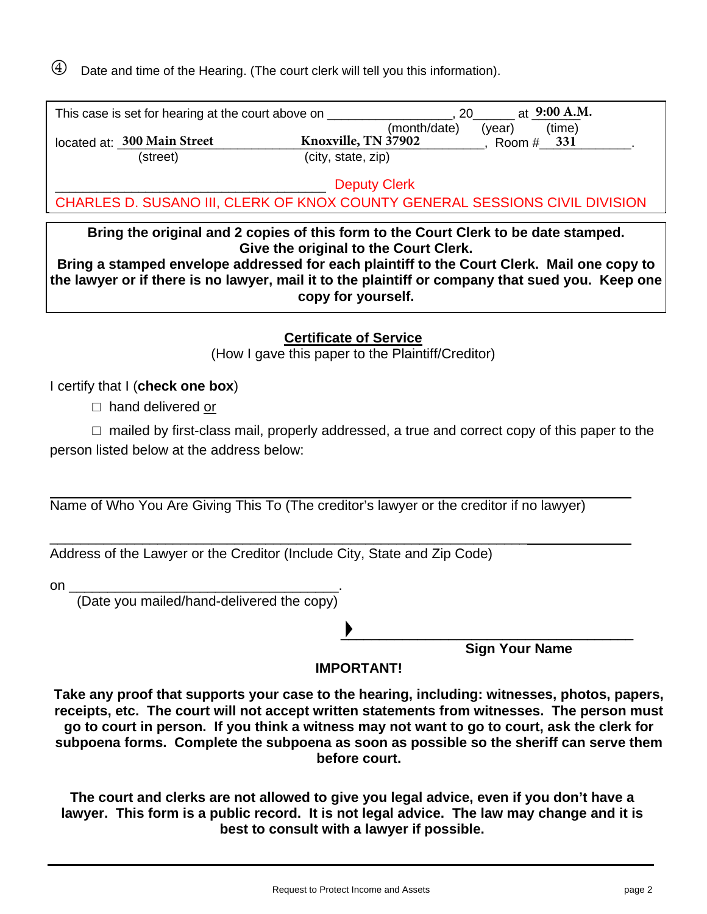$\Theta$  Date and time of the Hearing. (The court clerk will tell you this information).

| This case is set for hearing at the court above on | 20                  | at 9:00 A.M.     |
|----------------------------------------------------|---------------------|------------------|
|                                                    | (month/date)        | (time)<br>(vear) |
| located at: 300 Main Street                        | Knoxville, TN 37902 | 331<br>Room #    |
| (street)                                           | (city, state, zip)  |                  |
|                                                    | <b>Deputy Clerk</b> |                  |

THE Deputy Clerk<br>
CHARLES D. SUSANO III, CLERK OF KNOX COUNTY GENERAL SESSIONS CIVIL DIVISION

**Bring the original and 2 copies of this form to the Court Clerk to be date stamped. Give the original to the Court Clerk.** 

**Bring a stamped envelope addressed for each plaintiff to the Court Clerk. Mail one copy to the lawyer or if there is no lawyer, mail it to the plaintiff or company that sued you. Keep one copy for yourself.**

**Certificate of Service**

(How I gave this paper to the Plaintiff/Creditor)

I certify that I (**check one box**)

☐ hand delivered or

 $\Box$  mailed by first-class mail, properly addressed, a true and correct copy of this paper to the person listed below at the address below:

Name of Who You Are Giving This To (The creditor's lawyer or the creditor if no lawyer)

\_\_\_\_\_\_\_\_\_\_\_\_\_\_\_\_\_\_\_\_\_\_\_\_\_\_\_\_\_\_\_\_\_\_\_\_\_\_\_\_\_\_\_\_\_\_\_\_\_\_\_\_\_\_\_\_\_\_\_\_\_\_ Address of the Lawyer or the Creditor (Include City, State and Zip Code)

| on |  |  |  |
|----|--|--|--|
|    |  |  |  |

(Date you mailed/hand-delivered the copy)

\_\_\_\_\_\_\_\_\_\_\_\_\_\_\_\_\_\_\_\_\_\_\_\_\_\_\_\_\_\_\_\_\_\_\_\_\_\_ **Sign Your Name** 

## **IMPORTANT!**

**Take any proof that supports your case to the hearing, including: witnesses, photos, papers, receipts, etc. The court will not accept written statements from witnesses. The person must go to court in person. If you think a witness may not want to go to court, ask the clerk for subpoena forms. Complete the subpoena as soon as possible so the sheriff can serve them before court.**

**The court and clerks are not allowed to give you legal advice, even if you don't have a lawyer. This form is a public record. It is not legal advice. The law may change and it is best to consult with a lawyer if possible.**